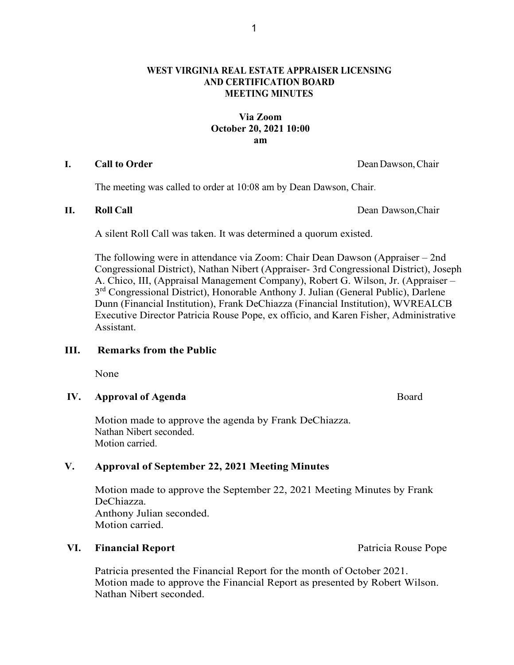## **WEST VIRGINIA REAL ESTATE APPRAISER LICENSING AND CERTIFICATION BOARD MEETING MINUTES**

## **Via Zoom October 20, 2021 10:00 am**

#### **I. Call to Order** DeanDawson,Chair

The meeting was called to order at 10:08 am by Dean Dawson, Chair.

**II. Roll Call** Dean Dawson,Chair

A silent Roll Call was taken. It was determined a quorum existed.

The following were in attendance via Zoom: Chair Dean Dawson (Appraiser – 2nd Congressional District), Nathan Nibert (Appraiser- 3rd Congressional District), Joseph A. Chico, III, (Appraisal Management Company), Robert G. Wilson, Jr. (Appraiser – 3<sup>rd</sup> Congressional District), Honorable Anthony J. Julian (General Public), Darlene Dunn (Financial Institution), Frank DeChiazza (Financial Institution), WVREALCB Executive Director Patricia Rouse Pope, ex officio, and Karen Fisher, Administrative Assistant.

#### **III. Remarks from the Public**

None

## **IV. Approval of Agenda Board**

Motion made to approve the agenda by Frank DeChiazza. Nathan Nibert seconded. Motion carried.

## **V. Approval of September 22, 2021 Meeting Minutes**

Motion made to approve the September 22, 2021 Meeting Minutes by Frank DeChiazza. Anthony Julian seconded. Motion carried.

#### **VI. Financial Report Patricia Rouse Pope Patricia Rouse Pope**

Patricia presented the Financial Report for the month of October 2021. Motion made to approve the Financial Report as presented by Robert Wilson. Nathan Nibert seconded.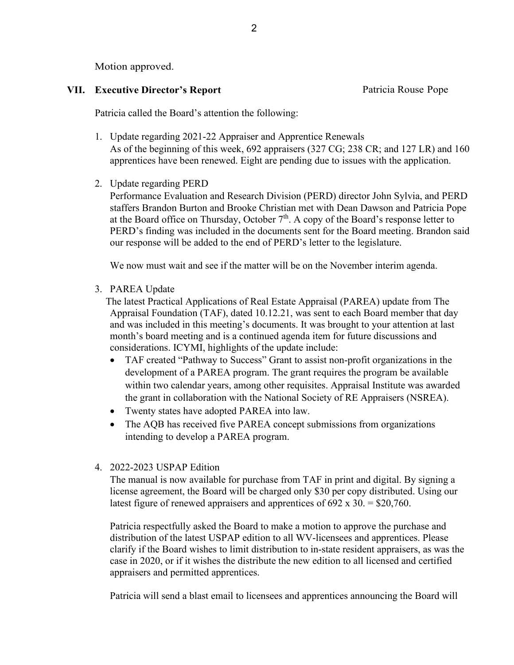Motion approved.

## **VII. Executive Director's Report Patricia Rouse Pope**

Patricia called the Board's attention the following:

- 1. Update regarding 2021-22 Appraiser and Apprentice Renewals As of the beginning of this week, 692 appraisers (327 CG; 238 CR; and 127 LR) and 160 apprentices have been renewed. Eight are pending due to issues with the application.
- 2. Update regarding PERD

Performance Evaluation and Research Division (PERD) director John Sylvia, and PERD staffers Brandon Burton and Brooke Christian met with Dean Dawson and Patricia Pope at the Board office on Thursday, October  $7<sup>th</sup>$ . A copy of the Board's response letter to PERD's finding was included in the documents sent for the Board meeting. Brandon said our response will be added to the end of PERD's letter to the legislature.

We now must wait and see if the matter will be on the November interim agenda.

3. PAREA Update

The latest Practical Applications of Real Estate Appraisal (PAREA) update from The Appraisal Foundation (TAF), dated 10.12.21, was sent to each Board member that day and was included in this meeting's documents. It was brought to your attention at last month's board meeting and is a continued agenda item for future discussions and considerations. ICYMI, highlights of the update include:

- TAF created "Pathway to Success" Grant to assist non-profit organizations in the development of a PAREA program. The grant requires the program be available within two calendar years, among other requisites. Appraisal Institute was awarded the grant in collaboration with the National Society of RE Appraisers (NSREA).
- Twenty states have adopted PAREA into law.
- The AQB has received five PAREA concept submissions from organizations intending to develop a PAREA program.

# 4. 2022-2023 USPAP Edition

The manual is now available for purchase from TAF in print and digital. By signing a license agreement, the Board will be charged only \$30 per copy distributed. Using our latest figure of renewed appraisers and apprentices of  $692 \times 30 = $20,760$ .

Patricia respectfully asked the Board to make a motion to approve the purchase and distribution of the latest USPAP edition to all WV-licensees and apprentices. Please clarify if the Board wishes to limit distribution to in-state resident appraisers, as was the case in 2020, or if it wishes the distribute the new edition to all licensed and certified appraisers and permitted apprentices.

Patricia will send a blast email to licensees and apprentices announcing the Board will

2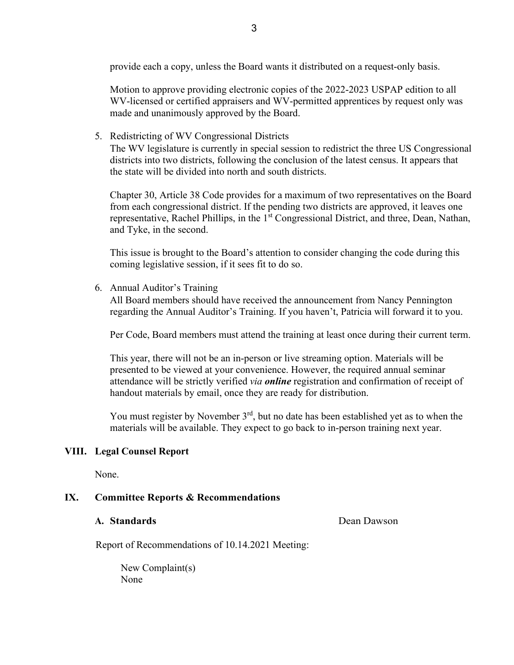provide each a copy, unless the Board wants it distributed on a request-only basis.

Motion to approve providing electronic copies of the 2022-2023 USPAP edition to all WV-licensed or certified appraisers and WV-permitted apprentices by request only was made and unanimously approved by the Board.

5. Redistricting of WV Congressional Districts The WV legislature is currently in special session to redistrict the three US Congressional districts into two districts, following the conclusion of the latest census. It appears that the state will be divided into north and south districts.

Chapter 30, Article 38 Code provides for a maximum of two representatives on the Board from each congressional district. If the pending two districts are approved, it leaves one representative, Rachel Phillips, in the 1<sup>st</sup> Congressional District, and three, Dean, Nathan, and Tyke, in the second.

This issue is brought to the Board's attention to consider changing the code during this coming legislative session, if it sees fit to do so.

6. Annual Auditor's Training

All Board members should have received the announcement from Nancy Pennington regarding the Annual Auditor's Training. If you haven't, Patricia will forward it to you.

Per Code, Board members must attend the training at least once during their current term.

This year, there will not be an in-person or live streaming option. Materials will be presented to be viewed at your convenience. However, the required annual seminar attendance will be strictly verified *via online* registration and confirmation of receipt of handout materials by email, once they are ready for distribution.

You must register by November  $3<sup>rd</sup>$ , but no date has been established yet as to when the materials will be available. They expect to go back to in-person training next year.

## **VIII. Legal Counsel Report**

None.

## **IX. Committee Reports & Recommendations**

#### **A. Standards Dean Dawson**

Report of Recommendations of 10.14.2021 Meeting:

New Complaint(s) None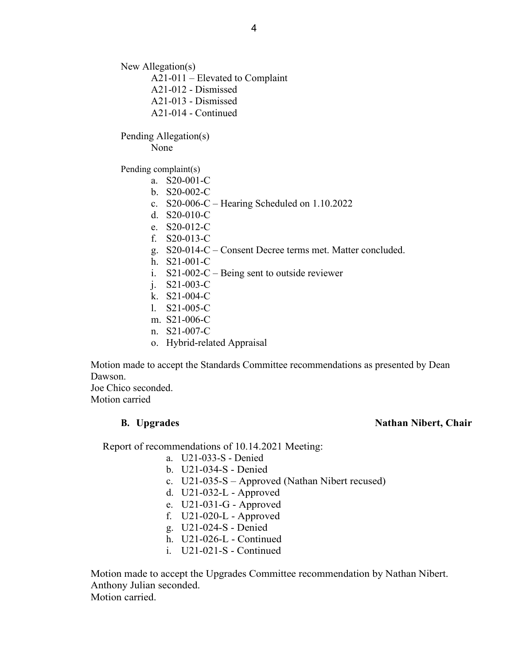New Allegation(s)

A21-011 – Elevated to Complaint

- A21-012 Dismissed
- A21-013 Dismissed
- A21-014 Continued

Pending Allegation(s)

None

Pending complaint(s)

- a. S20-001-C
- b. S20-002-C
- c. S20-006-C Hearing Scheduled on 1.10.2022
- d. S20-010-C
- e. S20-012-C
- f. S20-013-C
- g. S20-014-C Consent Decree terms met. Matter concluded.
- h. S21-001-C
- i.  $S21-002-C$  Being sent to outside reviewer
- j. S21-003-C
- k. S21-004-C
- l. S21-005-C
- m. S21-006-C
- n. S21-007-C
- o. Hybrid-related Appraisal

Motion made to accept the Standards Committee recommendations as presented by Dean Dawson.

Joe Chico seconded. Motion carried

#### **B. Upgrades** Nathan Nibert, Chair

Report of recommendations of 10.14.2021 Meeting:

- a. U21-033-S Denied
- b. U21-034-S Denied
- c. U21-035-S Approved (Nathan Nibert recused)
- d. U21-032-L Approved
- e. U21-031-G Approved
- f. U21-020-L Approved
- g. U21-024-S Denied
- h. U21-026-L Continued
- i. U21-021-S Continued

Motion made to accept the Upgrades Committee recommendation by Nathan Nibert. Anthony Julian seconded. Motion carried.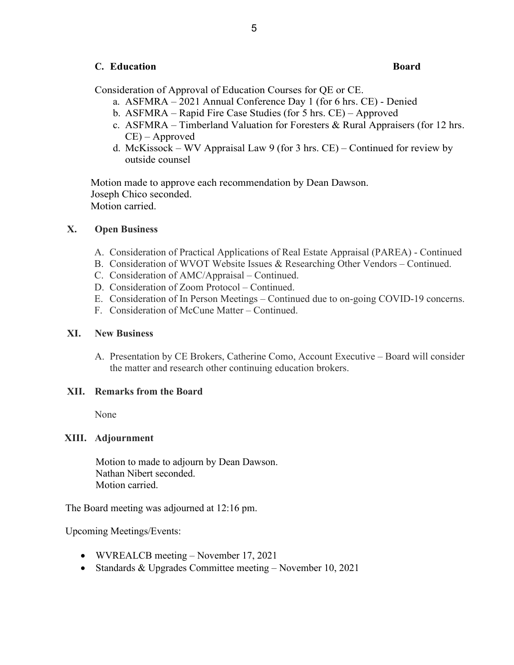## **C. Education Board**

Consideration of Approval of Education Courses for QE or CE.

- a. ASFMRA 2021 Annual Conference Day 1 (for 6 hrs. CE) Denied
- b. ASFMRA Rapid Fire Case Studies (for 5 hrs. CE) Approved
- c. ASFMRA Timberland Valuation for Foresters & Rural Appraisers (for 12 hrs. CE) – Approved
- d. McKissock WV Appraisal Law 9 (for 3 hrs. CE) Continued for review by outside counsel

Motion made to approve each recommendation by Dean Dawson. Joseph Chico seconded. Motion carried.

## **X. Open Business**

- A. Consideration of Practical Applications of Real Estate Appraisal (PAREA) Continued
- B. Consideration of WVOT Website Issues & Researching Other Vendors Continued.
- C. Consideration of AMC/Appraisal Continued.
- D. Consideration of Zoom Protocol Continued.
- E. Consideration of In Person Meetings Continued due to on-going COVID-19 concerns.
- F. Consideration of McCune Matter Continued.

#### **XI. New Business**

A. Presentation by CE Brokers, Catherine Como, Account Executive – Board will consider the matter and research other continuing education brokers.

## **XII. Remarks from the Board**

None

#### **XIII. Adjournment**

Motion to made to adjourn by Dean Dawson. Nathan Nibert seconded. Motion carried.

The Board meeting was adjourned at 12:16 pm.

Upcoming Meetings/Events:

- WVREALCB meeting November 17, 2021
- Standards & Upgrades Committee meeting November 10, 2021